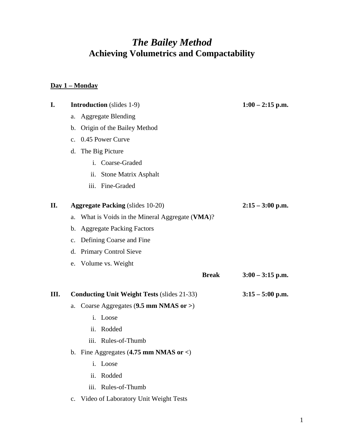# *The Bailey Method*  **Achieving Volumetrics and Compactability**

### **Day 1 – Monday**

| I. |             | <b>Introduction</b> (slides 1-9)                                | $1:00 - 2:15$ p.m. |
|----|-------------|-----------------------------------------------------------------|--------------------|
|    | a.          | <b>Aggregate Blending</b>                                       |                    |
|    | b.          | Origin of the Bailey Method                                     |                    |
|    |             | c. 0.45 Power Curve                                             |                    |
|    |             | d. The Big Picture                                              |                    |
|    |             | i. Coarse-Graded                                                |                    |
|    |             | <b>Stone Matrix Asphalt</b><br>ii.                              |                    |
|    |             | iii. Fine-Graded                                                |                    |
| П. |             | <b>Aggregate Packing (slides 10-20)</b>                         | $2:15 - 3:00$ p.m. |
|    |             | a. What is Voids in the Mineral Aggregate (VMA)?                |                    |
|    |             | b. Aggregate Packing Factors                                    |                    |
|    |             | c. Defining Coarse and Fine                                     |                    |
|    |             | d. Primary Control Sieve                                        |                    |
|    |             | e. Volume vs. Weight                                            |                    |
|    |             | <b>Break</b>                                                    | $3:00 - 3:15$ p.m. |
| Ш. |             | <b>Conducting Unit Weight Tests (slides 21-33)</b>              | $3:15 - 5:00$ p.m. |
|    | a.          | Coarse Aggregates $(9.5 \text{ mm} \text{ NMAS} \text{ or } >)$ |                    |
|    |             | i. Loose                                                        |                    |
|    |             | Rodded<br>ii.                                                   |                    |
|    |             | iii. Rules-of-Thumb                                             |                    |
|    |             | b. Fine Aggregates $(4.75 \text{ mm} \text{ NMAS or} <)$        |                    |
|    |             | Loose<br>$\mathbf{i}$ .                                         |                    |
|    |             | Rodded<br>ii.                                                   |                    |
|    |             | iii.<br>Rules-of-Thumb                                          |                    |
|    | $c_{\cdot}$ | Video of Laboratory Unit Weight Tests                           |                    |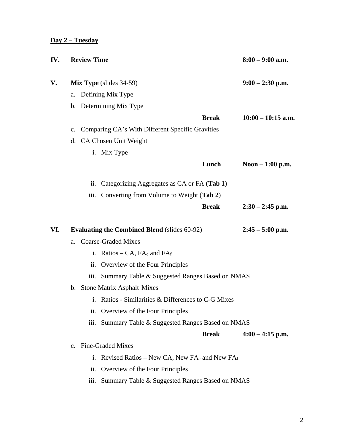#### **Day 2 – Tuesday**

| IV. | <b>Review Time</b>                                  |                                |                                                          |                    | $8:00 - 9:00$ a.m.   |  |
|-----|-----------------------------------------------------|--------------------------------|----------------------------------------------------------|--------------------|----------------------|--|
| V.  |                                                     | <b>Mix Type</b> (slides 34-59) | $9:00 - 2:30$ p.m.                                       |                    |                      |  |
|     |                                                     |                                | a. Defining Mix Type                                     |                    |                      |  |
|     |                                                     |                                | b. Determining Mix Type                                  |                    |                      |  |
|     |                                                     |                                |                                                          | <b>Break</b>       | $10:00 - 10:15$ a.m. |  |
|     | $\mathbf{c}$ .                                      |                                | Comparing CA's With Different Specific Gravities         |                    |                      |  |
|     |                                                     |                                | d. CA Chosen Unit Weight                                 |                    |                      |  |
|     |                                                     |                                | i. Mix Type                                              |                    |                      |  |
|     |                                                     |                                |                                                          | Lunch              | Noon - 1:00 p.m.     |  |
|     |                                                     | $\overline{11}$ .              | Categorizing Aggregates as CA or FA (Tab 1)              |                    |                      |  |
|     |                                                     | iii.                           | Converting from Volume to Weight (Tab 2)                 |                    |                      |  |
|     |                                                     |                                |                                                          | <b>Break</b>       | $2:30 - 2:45$ p.m.   |  |
| VI. | <b>Evaluating the Combined Blend</b> (slides 60-92) |                                |                                                          | $2:45 - 5:00$ p.m. |                      |  |
|     | a.                                                  |                                | <b>Coarse-Graded Mixes</b>                               |                    |                      |  |
|     |                                                     |                                | i. Ratios $- CA$ , FAc and FAf                           |                    |                      |  |
|     |                                                     |                                | ii. Overview of the Four Principles                      |                    |                      |  |
|     |                                                     | iii.                           | Summary Table & Suggested Ranges Based on NMAS           |                    |                      |  |
|     |                                                     |                                | b. Stone Matrix Asphalt Mixes                            |                    |                      |  |
|     |                                                     |                                | i. Ratios - Similarities & Differences to C-G Mixes      |                    |                      |  |
|     |                                                     | 11.                            | Overview of the Four Principles                          |                    |                      |  |
|     |                                                     | iii.                           | Summary Table & Suggested Ranges Based on NMAS           |                    |                      |  |
|     |                                                     |                                |                                                          | <b>Break</b>       | $4:00 - 4:15$ p.m.   |  |
|     | $\mathbf{c}$ .                                      |                                | <b>Fine-Graded Mixes</b>                                 |                    |                      |  |
|     |                                                     | i.                             | Revised Ratios – New CA, New FA $_{c}$ and New FA $_{f}$ |                    |                      |  |
|     |                                                     | ii.                            | Overview of the Four Principles                          |                    |                      |  |
|     |                                                     | iii.                           | Summary Table & Suggested Ranges Based on NMAS           |                    |                      |  |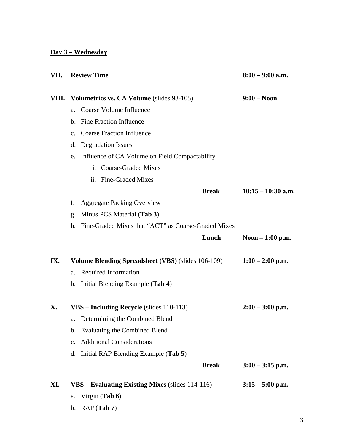### **Day 3 – Wednesday**

| VII.  |    | <b>Review Time</b>                                        | $8:00 - 9:00$ a.m.   |  |
|-------|----|-----------------------------------------------------------|----------------------|--|
| VIII. |    | Volumetrics vs. CA Volume (slides 93-105)                 | $9:00 - N$ oon       |  |
|       | a. | Coarse Volume Influence                                   |                      |  |
|       |    | b. Fine Fraction Influence                                |                      |  |
|       |    | c. Coarse Fraction Influence                              |                      |  |
|       | d. | <b>Degradation Issues</b>                                 |                      |  |
|       |    | e. Influence of CA Volume on Field Compactability         |                      |  |
|       |    | i. Coarse-Graded Mixes                                    |                      |  |
|       |    | ii. Fine-Graded Mixes                                     |                      |  |
|       |    | <b>Break</b>                                              | $10:15 - 10:30$ a.m. |  |
|       | f. | <b>Aggregate Packing Overview</b>                         |                      |  |
|       | g. | Minus PCS Material (Tab 3)                                |                      |  |
|       |    | h. Fine-Graded Mixes that "ACT" as Coarse-Graded Mixes    |                      |  |
|       |    | Lunch                                                     | Noon $-1:00$ p.m.    |  |
| IX.   |    | <b>Volume Blending Spreadsheet (VBS)</b> (slides 106-109) | $1:00 - 2:00$ p.m.   |  |
|       |    | a. Required Information                                   |                      |  |
|       |    | b. Initial Blending Example (Tab 4)                       |                      |  |
| X.    |    | VBS - Including Recycle (slides 110-113)                  | $2:00 - 3:00$ p.m.   |  |
|       |    | a. Determining the Combined Blend                         |                      |  |
|       |    | b. Evaluating the Combined Blend                          |                      |  |
|       |    | c. Additional Considerations                              |                      |  |
|       |    | d. Initial RAP Blending Example (Tab 5)                   |                      |  |
|       |    | <b>Break</b>                                              | $3:00 - 3:15$ p.m.   |  |
| XI.   |    | VBS – Evaluating Existing Mixes (slides 114-116)          | $3:15 - 5:00$ p.m.   |  |
|       | a. | Virgin (Tab $6$ )                                         |                      |  |
|       |    | b. RAP $(Tab 7)$                                          |                      |  |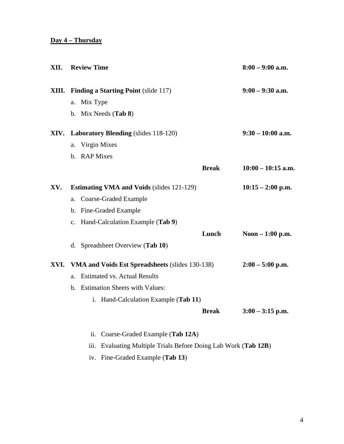## **Day 4 – Thursday**

| XII. |    | <b>Review Time</b>                                |                                                            |                     | $8:00 - 9:00$ a.m.   |
|------|----|---------------------------------------------------|------------------------------------------------------------|---------------------|----------------------|
|      |    | <b>XIII.</b> Finding a Starting Point (slide 117) | $9:00 - 9:30$ a.m.                                         |                     |                      |
|      |    | a. Mix Type                                       |                                                            |                     |                      |
|      |    |                                                   | b. Mix Needs (Tab 8)                                       |                     |                      |
|      |    |                                                   | XIV. Laboratory Blending (slides 118-120)                  | $9:30 - 10:00$ a.m. |                      |
|      | a. |                                                   | Virgin Mixes                                               |                     |                      |
|      |    | b. RAP Mixes                                      |                                                            |                     |                      |
|      |    |                                                   |                                                            | <b>Break</b>        | $10:00 - 10:15$ a.m. |
| XV.  |    |                                                   | <b>Estimating VMA and Voids (slides 121-129)</b>           | $10:15 - 2:00$ p.m. |                      |
|      | a. |                                                   | Coarse-Graded Example                                      |                     |                      |
|      |    |                                                   | b. Fine-Graded Example                                     |                     |                      |
|      |    |                                                   | c. Hand-Calculation Example (Tab 9)                        |                     |                      |
|      |    |                                                   |                                                            | Lunch               | Noon $-1:00$ p.m.    |
|      |    |                                                   | d. Spreadsheet Overview (Tab 10)                           |                     |                      |
| XVI. |    |                                                   | VMA and Voids Est Spreadsheets (slides 130-138)            |                     | $2:00 - 5:00$ p.m.   |
|      | a. |                                                   | <b>Estimated vs. Actual Results</b>                        |                     |                      |
|      |    |                                                   | b. Estimation Sheets with Values:                          |                     |                      |
|      |    |                                                   | i. Hand-Calculation Example (Tab 11)                       |                     |                      |
|      |    |                                                   |                                                            | <b>Break</b>        | $3:00 - 3:15$ p.m.   |
|      |    | ii.                                               | Coarse-Graded Example (Tab 12A)                            |                     |                      |
|      |    | iii.                                              | Evaluating Multiple Trials Before Doing Lab Work (Tab 12B) |                     |                      |
|      |    | iv.                                               | Fine-Graded Example (Tab 13)                               |                     |                      |